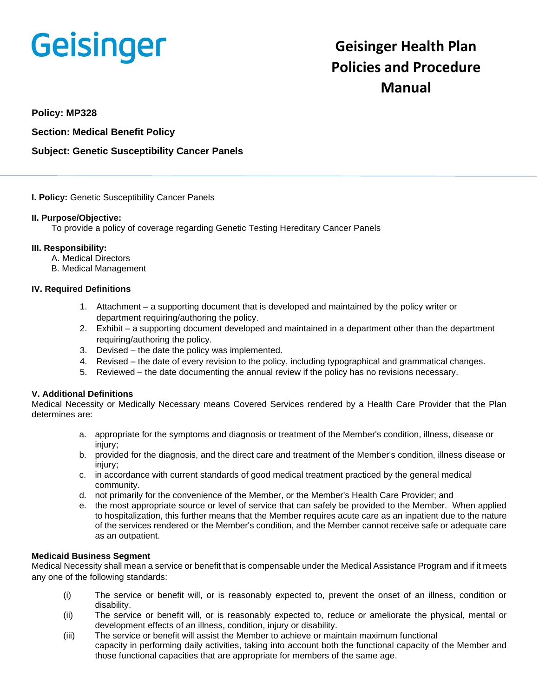# **Geisinger**

# **Geisinger Health Plan Policies and Procedure Manual**

**Policy: MP328**

**Section: Medical Benefit Policy**

# **Subject: Genetic Susceptibility Cancer Panels**

#### **I. Policy:** Genetic Susceptibility Cancer Panels

#### **II. Purpose/Objective:**

To provide a policy of coverage regarding Genetic Testing Hereditary Cancer Panels

# **III. Responsibility:**

- A. Medical Directors
- B. Medical Management

# **IV. Required Definitions**

- 1. Attachment a supporting document that is developed and maintained by the policy writer or department requiring/authoring the policy.
- 2. Exhibit a supporting document developed and maintained in a department other than the department requiring/authoring the policy.
- 3. Devised the date the policy was implemented.
- 4. Revised the date of every revision to the policy, including typographical and grammatical changes.
- 5. Reviewed the date documenting the annual review if the policy has no revisions necessary.

# **V. Additional Definitions**

Medical Necessity or Medically Necessary means Covered Services rendered by a Health Care Provider that the Plan determines are:

- a. appropriate for the symptoms and diagnosis or treatment of the Member's condition, illness, disease or injury;
- b. provided for the diagnosis, and the direct care and treatment of the Member's condition, illness disease or iniury:
- c. in accordance with current standards of good medical treatment practiced by the general medical community.
- d. not primarily for the convenience of the Member, or the Member's Health Care Provider; and
- e. the most appropriate source or level of service that can safely be provided to the Member. When applied to hospitalization, this further means that the Member requires acute care as an inpatient due to the nature of the services rendered or the Member's condition, and the Member cannot receive safe or adequate care as an outpatient.

#### **Medicaid Business Segment**

Medical Necessity shall mean a service or benefit that is compensable under the Medical Assistance Program and if it meets any one of the following standards:

- (i) The service or benefit will, or is reasonably expected to, prevent the onset of an illness, condition or disability.
- (ii) The service or benefit will, or is reasonably expected to, reduce or ameliorate the physical, mental or development effects of an illness, condition, injury or disability.
- (iii) The service or benefit will assist the Member to achieve or maintain maximum functional capacity in performing daily activities, taking into account both the functional capacity of the Member and those functional capacities that are appropriate for members of the same age.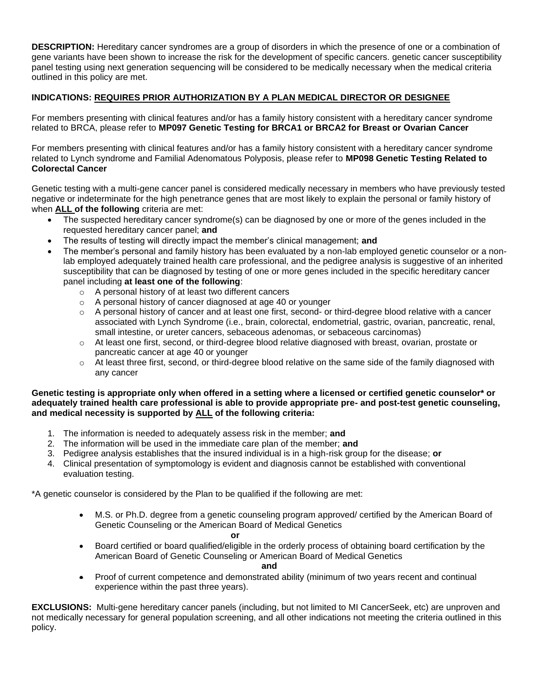**DESCRIPTION:** Hereditary cancer syndromes are a group of disorders in which the presence of one or a combination of gene variants have been shown to increase the risk for the development of specific cancers. genetic cancer susceptibility panel testing using next generation sequencing will be considered to be medically necessary when the medical criteria outlined in this policy are met.

# **INDICATIONS: REQUIRES PRIOR AUTHORIZATION BY A PLAN MEDICAL DIRECTOR OR DESIGNEE**

For members presenting with clinical features and/or has a family history consistent with a hereditary cancer syndrome related to BRCA, please refer to **MP097 Genetic Testing for BRCA1 or BRCA2 for Breast or Ovarian Cancer**

For members presenting with clinical features and/or has a family history consistent with a hereditary cancer syndrome related to Lynch syndrome and Familial Adenomatous Polyposis, please refer to **MP098 Genetic Testing Related to Colorectal Cancer**

Genetic testing with a multi-gene cancer panel is considered medically necessary in members who have previously tested negative or indeterminate for the high penetrance genes that are most likely to explain the personal or family history of when **ALL of the following** criteria are met:

- The suspected hereditary cancer syndrome(s) can be diagnosed by one or more of the genes included in the requested hereditary cancer panel; **and**
- The results of testing will directly impact the member's clinical management; **and**
- The member's personal and family history has been evaluated by a non-lab employed genetic counselor or a nonlab employed adequately trained health care professional, and the pedigree analysis is suggestive of an inherited susceptibility that can be diagnosed by testing of one or more genes included in the specific hereditary cancer panel including **at least one of the following**:
	- o A personal history of at least two different cancers
	- o A personal history of cancer diagnosed at age 40 or younger
	- $\circ$  A personal history of cancer and at least one first, second- or third-degree blood relative with a cancer associated with Lynch Syndrome (i.e., brain, colorectal, endometrial, gastric, ovarian, pancreatic, renal, small intestine, or ureter cancers, sebaceous adenomas, or sebaceous carcinomas)
	- $\circ$  At least one first, second, or third-degree blood relative diagnosed with breast, ovarian, prostate or pancreatic cancer at age 40 or younger
	- $\circ$  At least three first, second, or third-degree blood relative on the same side of the family diagnosed with any cancer

#### **Genetic testing is appropriate only when offered in a setting where a licensed or certified genetic counselor\* or adequately trained health care professional is able to provide appropriate pre- and post-test genetic counseling, and medical necessity is supported by ALL of the following criteria:**

- 1. The information is needed to adequately assess risk in the member; **and**
- 2. The information will be used in the immediate care plan of the member; **and**
- 3. Pedigree analysis establishes that the insured individual is in a high-risk group for the disease; **or**
- 4. Clinical presentation of symptomology is evident and diagnosis cannot be established with conventional evaluation testing.

\*A genetic counselor is considered by the Plan to be qualified if the following are met:

- M.S. or Ph.D. degree from a genetic counseling program approved/ certified by the American Board of Genetic Counseling or the American Board of Medical Genetics
- *<u>oral control of the state of the state of the state of the state of the state of the state of the state of the state of the state of the state of the state of the state of the state of the state of the state of the stat*</u>
- Board certified or board qualified/eligible in the orderly process of obtaining board certification by the American Board of Genetic Counseling or American Board of Medical Genetics

#### **and**

• Proof of current competence and demonstrated ability (minimum of two years recent and continual experience within the past three years).

**EXCLUSIONS:** Multi-gene hereditary cancer panels (including, but not limited to MI CancerSeek, etc) are unproven and not medically necessary for general population screening, and all other indications not meeting the criteria outlined in this policy.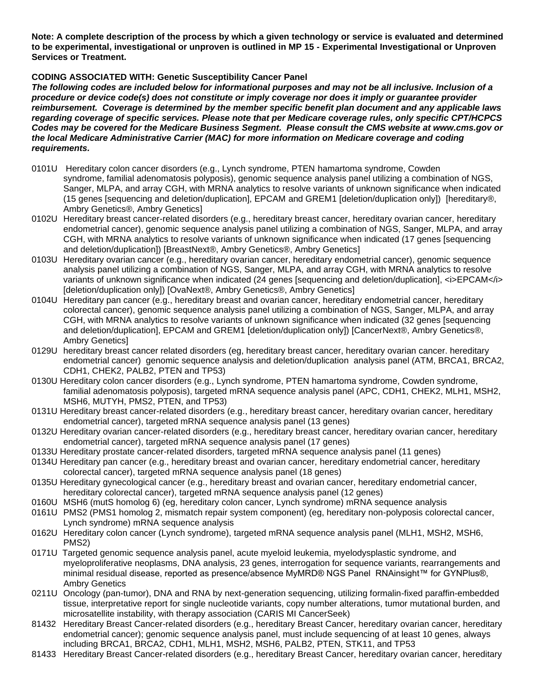**Note: A complete description of the process by which a given technology or service is evaluated and determined to be experimental, investigational or unproven is outlined in MP 15 - Experimental Investigational or Unproven Services or Treatment.**

# **CODING ASSOCIATED WITH: Genetic Susceptibility Cancer Panel**

*The following codes are included below for informational purposes and may not be all inclusive. Inclusion of a procedure or device code(s) does not constitute or imply coverage nor does it imply or guarantee provider reimbursement. Coverage is determined by the member specific benefit plan document and any applicable laws regarding coverage of specific services. Please note that per Medicare coverage rules, only specific CPT/HCPCS Codes may be covered for the Medicare Business Segment. Please consult the CMS website at www.cms.gov or the local Medicare Administrative Carrier (MAC) for more information on Medicare coverage and coding requirements.*

- 0101U Hereditary colon cancer disorders (e.g., Lynch syndrome, PTEN hamartoma syndrome, Cowden syndrome, familial adenomatosis polyposis), genomic sequence analysis panel utilizing a combination of NGS, Sanger, MLPA, and array CGH, with MRNA analytics to resolve variants of unknown significance when indicated (15 genes [sequencing and deletion/duplication], EPCAM and GREM1 [deletion/duplication only]) [hereditary®, Ambry Genetics®, Ambry Genetics]
- 0102U Hereditary breast cancer-related disorders (e.g., hereditary breast cancer, hereditary ovarian cancer, hereditary endometrial cancer), genomic sequence analysis panel utilizing a combination of NGS, Sanger, MLPA, and array CGH, with MRNA analytics to resolve variants of unknown significance when indicated (17 genes [sequencing and deletion/duplication]) [BreastNext®, Ambry Genetics®, Ambry Genetics]
- 0103U Hereditary ovarian cancer (e.g., hereditary ovarian cancer, hereditary endometrial cancer), genomic sequence analysis panel utilizing a combination of NGS, Sanger, MLPA, and array CGH, with MRNA analytics to resolve variants of unknown significance when indicated (24 genes [sequencing and deletion/duplication], <i>EPCAM</i> [deletion/duplication only]) [OvaNext®, Ambry Genetics®, Ambry Genetics]
- 0104U Hereditary pan cancer (e.g., hereditary breast and ovarian cancer, hereditary endometrial cancer, hereditary colorectal cancer), genomic sequence analysis panel utilizing a combination of NGS, Sanger, MLPA, and array CGH, with MRNA analytics to resolve variants of unknown significance when indicated (32 genes [sequencing and deletion/duplication], EPCAM and GREM1 [deletion/duplication only]) [CancerNext®, Ambry Genetics®, Ambry Genetics]
- 0129U hereditary breast cancer related disorders (eg, hereditary breast cancer, hereditary ovarian cancer. hereditary endometrial cancer) genomic sequence analysis and deletion/duplication analysis panel (ATM, BRCA1, BRCA2, CDH1, CHEK2, PALB2, PTEN and TP53)
- 0130U Hereditary colon cancer disorders (e.g., Lynch syndrome, PTEN hamartoma syndrome, Cowden syndrome, familial adenomatosis polyposis), targeted mRNA sequence analysis panel (APC, CDH1, CHEK2, MLH1, MSH2, MSH6, MUTYH, PMS2, PTEN, and TP53)
- 0131U Hereditary breast cancer-related disorders (e.g., hereditary breast cancer, hereditary ovarian cancer, hereditary endometrial cancer), targeted mRNA sequence analysis panel (13 genes)
- 0132U Hereditary ovarian cancer-related disorders (e.g., hereditary breast cancer, hereditary ovarian cancer, hereditary endometrial cancer), targeted mRNA sequence analysis panel (17 genes)
- 0133U Hereditary prostate cancer-related disorders, targeted mRNA sequence analysis panel (11 genes)
- 0134U Hereditary pan cancer (e.g., hereditary breast and ovarian cancer, hereditary endometrial cancer, hereditary colorectal cancer), targeted mRNA sequence analysis panel (18 genes)
- 0135U Hereditary gynecological cancer (e.g., hereditary breast and ovarian cancer, hereditary endometrial cancer, hereditary colorectal cancer), targeted mRNA sequence analysis panel (12 genes)
- 0160U MSH6 (mutS homolog 6) (eg, hereditary colon cancer, Lynch syndrome) mRNA sequence analysis
- 0161U PMS2 (PMS1 homolog 2, mismatch repair system component) (eg, hereditary non-polyposis colorectal cancer, Lynch syndrome) mRNA sequence analysis
- 0162U Hereditary colon cancer (Lynch syndrome), targeted mRNA sequence analysis panel (MLH1, MSH2, MSH6, PMS2)
- 0171U Targeted genomic sequence analysis panel, acute myeloid leukemia, myelodysplastic syndrome, and myeloproliferative neoplasms, DNA analysis, 23 genes, interrogation for sequence variants, rearrangements and minimal residual disease, reported as presence/absence MyMRD® NGS Panel RNAinsight™ for GYNPlus®, Ambry Genetics
- 0211U Oncology (pan-tumor), DNA and RNA by next-generation sequencing, utilizing formalin-fixed paraffin-embedded tissue, interpretative report for single nucleotide variants, copy number alterations, tumor mutational burden, and microsatellite instability, with therapy association (CARIS MI CancerSeek)
- 81432 Hereditary Breast Cancer-related disorders (e.g., hereditary Breast Cancer, hereditary ovarian cancer, hereditary endometrial cancer); genomic sequence analysis panel, must include sequencing of at least 10 genes, always including BRCA1, BRCA2, CDH1, MLH1, MSH2, MSH6, PALB2, PTEN, STK11, and TP53
- 81433 Hereditary Breast Cancer-related disorders (e.g., hereditary Breast Cancer, hereditary ovarian cancer, hereditary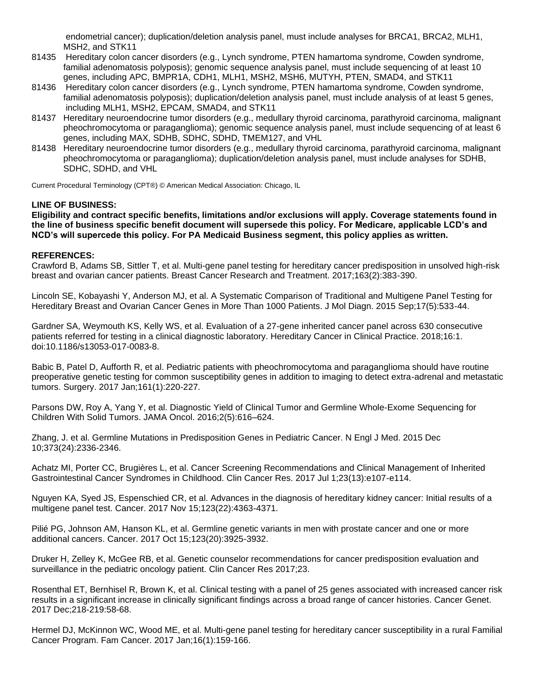endometrial cancer); duplication/deletion analysis panel, must include analyses for BRCA1, BRCA2, MLH1, MSH2, and STK11

- 81435 Hereditary colon cancer disorders (e.g., Lynch syndrome, PTEN hamartoma syndrome, Cowden syndrome, familial adenomatosis polyposis); genomic sequence analysis panel, must include sequencing of at least 10 genes, including APC, BMPR1A, CDH1, MLH1, MSH2, MSH6, MUTYH, PTEN, SMAD4, and STK11
- 81436 Hereditary colon cancer disorders (e.g., Lynch syndrome, PTEN hamartoma syndrome, Cowden syndrome, familial adenomatosis polyposis); duplication/deletion analysis panel, must include analysis of at least 5 genes, including MLH1, MSH2, EPCAM, SMAD4, and STK11
- 81437 Hereditary neuroendocrine tumor disorders (e.g., medullary thyroid carcinoma, parathyroid carcinoma, malignant pheochromocytoma or paraganglioma); genomic sequence analysis panel, must include sequencing of at least 6 genes, including MAX, SDHB, SDHC, SDHD, TMEM127, and VHL
- 81438 Hereditary neuroendocrine tumor disorders (e.g., medullary thyroid carcinoma, parathyroid carcinoma, malignant pheochromocytoma or paraganglioma); duplication/deletion analysis panel, must include analyses for SDHB, SDHC, SDHD, and VHL

Current Procedural Terminology (CPT®) © American Medical Association: Chicago, IL

# **LINE OF BUSINESS:**

**Eligibility and contract specific benefits, limitations and/or exclusions will apply. Coverage statements found in the line of business specific benefit document will supersede this policy. For Medicare, applicable LCD's and NCD's will supercede this policy. For PA Medicaid Business segment, this policy applies as written.**

#### **REFERENCES:**

Crawford B, Adams SB, Sittler T, et al. Multi-gene panel testing for hereditary cancer predisposition in unsolved high-risk breast and ovarian cancer patients. Breast Cancer Research and Treatment. 2017;163(2):383-390.

Lincoln SE, Kobayashi Y, Anderson MJ, et al. A Systematic Comparison of Traditional and Multigene Panel Testing for Hereditary Breast and Ovarian Cancer Genes in More Than 1000 Patients. J Mol Diagn. 2015 Sep;17(5):533-44.

Gardner SA, Weymouth KS, Kelly WS, et al. Evaluation of a 27-gene inherited cancer panel across 630 consecutive patients referred for testing in a clinical diagnostic laboratory. Hereditary Cancer in Clinical Practice. 2018;16:1. doi:10.1186/s13053-017-0083-8.

Babic B, Patel D, Aufforth R, et al. Pediatric patients with pheochromocytoma and paraganglioma should have routine preoperative genetic testing for common susceptibility genes in addition to imaging to detect extra-adrenal and metastatic tumors. Surgery. 2017 Jan;161(1):220-227.

Parsons DW, Roy A, Yang Y, et al. Diagnostic Yield of Clinical Tumor and Germline Whole-Exome Sequencing for Children With Solid Tumors. JAMA Oncol. 2016;2(5):616–624.

Zhang, J. et al. Germline Mutations in Predisposition Genes in Pediatric Cancer. N Engl J Med. 2015 Dec 10;373(24):2336-2346.

Achatz MI, Porter CC, Brugières L, et al. Cancer Screening Recommendations and Clinical Management of Inherited Gastrointestinal Cancer Syndromes in Childhood. Clin Cancer Res. 2017 Jul 1;23(13):e107-e114.

Nguyen KA, Syed JS, Espenschied CR, et al. Advances in the diagnosis of hereditary kidney cancer: Initial results of a multigene panel test. Cancer. 2017 Nov 15;123(22):4363-4371.

Pilié PG, Johnson AM, Hanson KL, et al. Germline genetic variants in men with prostate cancer and one or more additional cancers. Cancer. 2017 Oct 15;123(20):3925-3932.

Druker H, Zelley K, McGee RB, et al. Genetic counselor recommendations for cancer predisposition evaluation and surveillance in the pediatric oncology patient. Clin Cancer Res 2017;23.

Rosenthal ET, Bernhisel R, Brown K, et al. Clinical testing with a panel of 25 genes associated with increased cancer risk results in a significant increase in clinically significant findings across a broad range of cancer histories. Cancer Genet. 2017 Dec;218-219:58-68.

Hermel DJ, McKinnon WC, Wood ME, et al. Multi-gene panel testing for hereditary cancer susceptibility in a rural Familial Cancer Program. Fam Cancer. 2017 Jan;16(1):159-166.